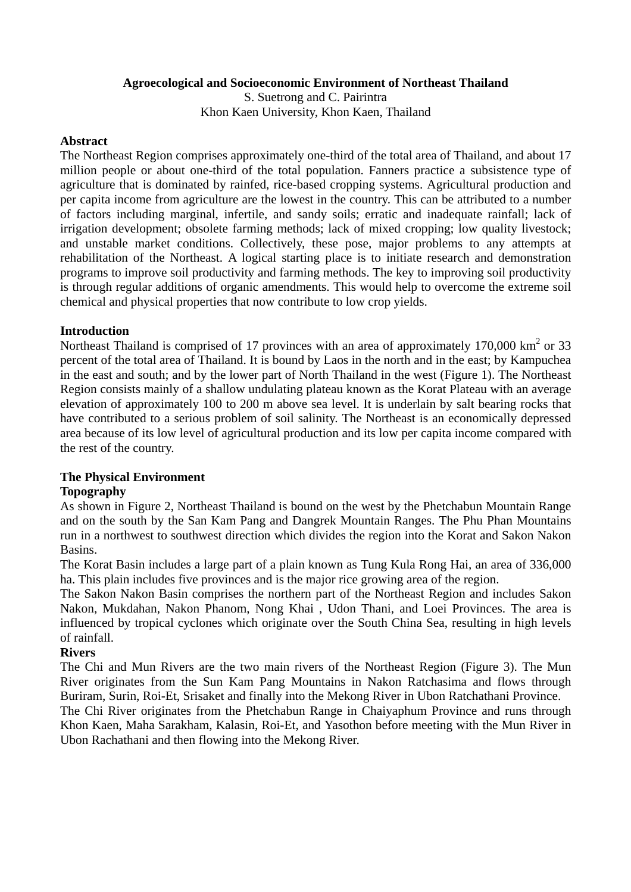## **Agroecological and Socioeconomic Environment of Northeast Thailand**

S. Suetrong and C. Pairintra Khon Kaen University, Khon Kaen, Thailand

## **Abstract**

The Northeast Region comprises approximately one-third of the total area of Thailand, and about 17 million people or about one-third of the total population. Fanners practice a subsistence type of agriculture that is dominated by rainfed, rice-based cropping systems. Agricultural production and per capita income from agriculture are the lowest in the country. This can be attributed to a number of factors including marginal, infertile, and sandy soils; erratic and inadequate rainfall; lack of irrigation development; obsolete farming methods; lack of mixed cropping; low quality livestock; and unstable market conditions. Collectively, these pose, major problems to any attempts at rehabilitation of the Northeast. A logical starting place is to initiate research and demonstration programs to improve soil productivity and farming methods. The key to improving soil productivity is through regular additions of organic amendments. This would help to overcome the extreme soil chemical and physical properties that now contribute to low crop yields.

# **Introduction**

Northeast Thailand is comprised of 17 provinces with an area of approximately 170,000 km<sup>2</sup> or 33 percent of the total area of Thailand. It is bound by Laos in the north and in the east; by Kampuchea in the east and south; and by the lower part of North Thailand in the west (Figure 1). The Northeast Region consists mainly of a shallow undulating plateau known as the Korat Plateau with an average elevation of approximately 100 to 200 m above sea level. It is underlain by salt bearing rocks that have contributed to a serious problem of soil salinity. The Northeast is an economically depressed area because of its low level of agricultural production and its low per capita income compared with the rest of the country.

# **The Physical Environment**

# **Topography**

As shown in Figure 2, Northeast Thailand is bound on the west by the Phetchabun Mountain Range and on the south by the San Kam Pang and Dangrek Mountain Ranges. The Phu Phan Mountains run in a northwest to southwest direction which divides the region into the Korat and Sakon Nakon Basins.

The Korat Basin includes a large part of a plain known as Tung Kula Rong Hai, an area of 336,000 ha. This plain includes five provinces and is the major rice growing area of the region.

The Sakon Nakon Basin comprises the northern part of the Northeast Region and includes Sakon Nakon, Mukdahan, Nakon Phanom, Nong Khai , Udon Thani, and Loei Provinces. The area is influenced by tropical cyclones which originate over the South China Sea, resulting in high levels of rainfall.

## **Rivers**

The Chi and Mun Rivers are the two main rivers of the Northeast Region (Figure 3). The Mun River originates from the Sun Kam Pang Mountains in Nakon Ratchasima and flows through Buriram, Surin, Roi-Et, Srisaket and finally into the Mekong River in Ubon Ratchathani Province.

The Chi River originates from the Phetchabun Range in Chaiyaphum Province and runs through Khon Kaen, Maha Sarakham, Kalasin, Roi-Et, and Yasothon before meeting with the Mun River in Ubon Rachathani and then flowing into the Mekong River.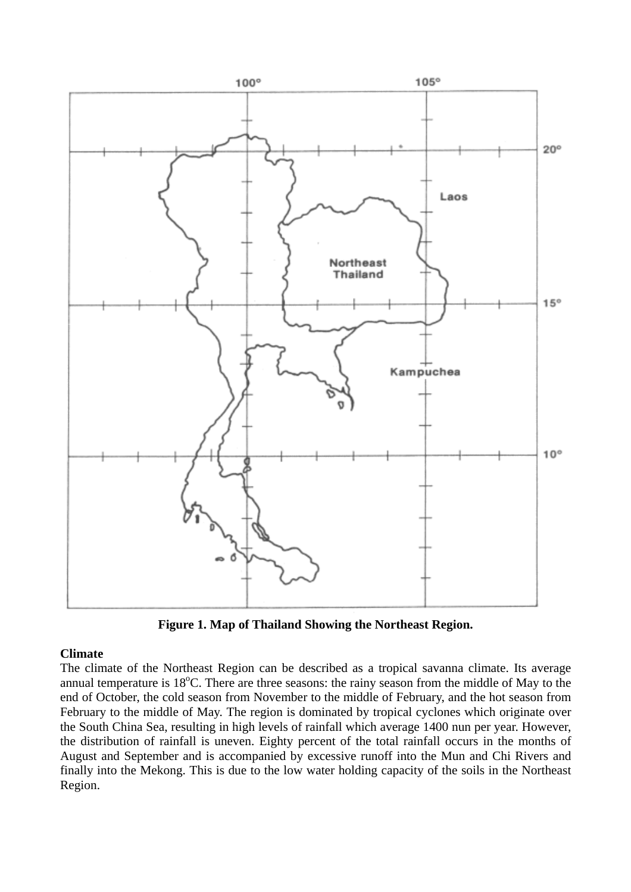

**Figure 1. Map of Thailand Showing the Northeast Region.** 

# **Climate**

The climate of the Northeast Region can be described as a tropical savanna climate. Its average annual temperature is  $18^{\circ}$ C. There are three seasons: the rainy season from the middle of May to the end of October, the cold season from November to the middle of February, and the hot season from February to the middle of May. The region is dominated by tropical cyclones which originate over the South China Sea, resulting in high levels of rainfall which average 1400 nun per year. However, the distribution of rainfall is uneven. Eighty percent of the total rainfall occurs in the months of August and September and is accompanied by excessive runoff into the Mun and Chi Rivers and finally into the Mekong. This is due to the low water holding capacity of the soils in the Northeast Region.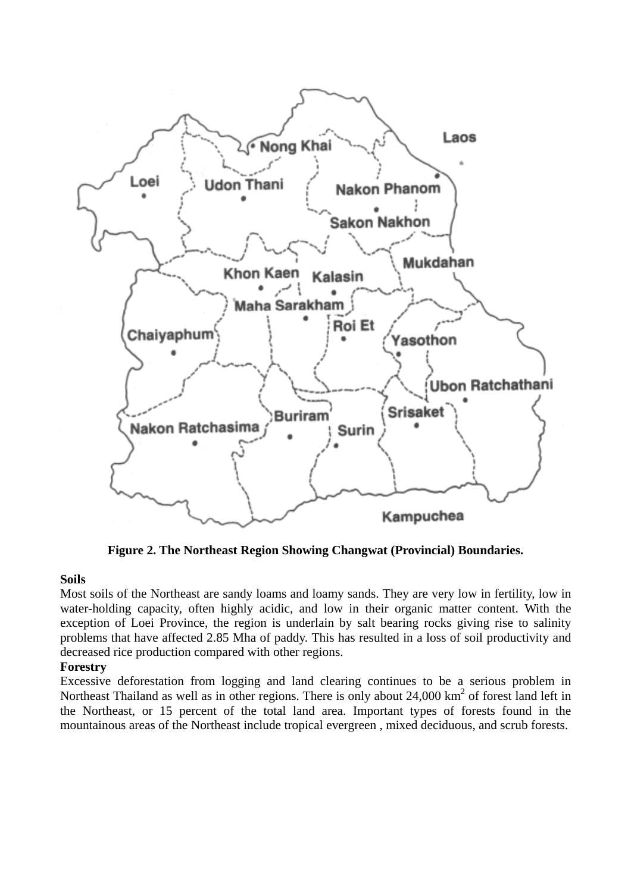

**Figure 2. The Northeast Region Showing Changwat (Provincial) Boundaries.** 

#### **Soils**

Most soils of the Northeast are sandy loams and loamy sands. They are very low in fertility, low in water-holding capacity, often highly acidic, and low in their organic matter content. With the exception of Loei Province, the region is underlain by salt bearing rocks giving rise to salinity problems that have affected 2.85 Mha of paddy. This has resulted in a loss of soil productivity and decreased rice production compared with other regions.

## **Forestry**

Excessive deforestation from logging and land clearing continues to be a serious problem in Northeast Thailand as well as in other regions. There is only about 24,000 km<sup>2</sup> of forest land left in the Northeast, or 15 percent of the total land area. Important types of forests found in the mountainous areas of the Northeast include tropical evergreen , mixed deciduous, and scrub forests.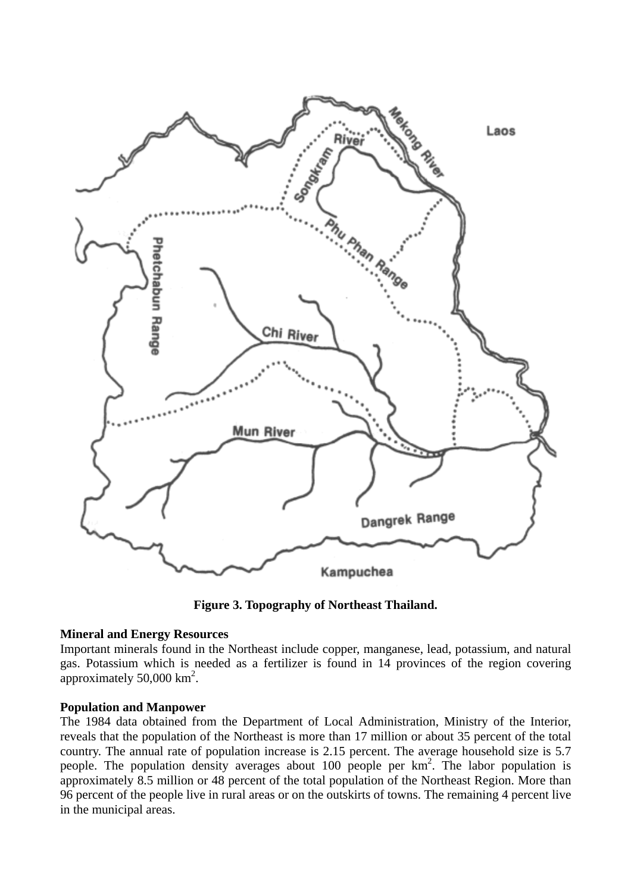

**Figure 3. Topography of Northeast Thailand.** 

## **Mineral and Energy Resources**

Important minerals found in the Northeast include copper, manganese, lead, potassium, and natural gas. Potassium which is needed as a fertilizer is found in 14 provinces of the region covering approximately  $50,000 \text{ km}^2$ .

#### **Population and Manpower**

The 1984 data obtained from the Department of Local Administration, Ministry of the Interior, reveals that the population of the Northeast is more than 17 million or about 35 percent of the total country. The annual rate of population increase is 2.15 percent. The average household size is 5.7 people. The population density averages about 100 people per  $km^2$ . The labor population is approximately 8.5 million or 48 percent of the total population of the Northeast Region. More than 96 percent of the people live in rural areas or on the outskirts of towns. The remaining 4 percent live in the municipal areas.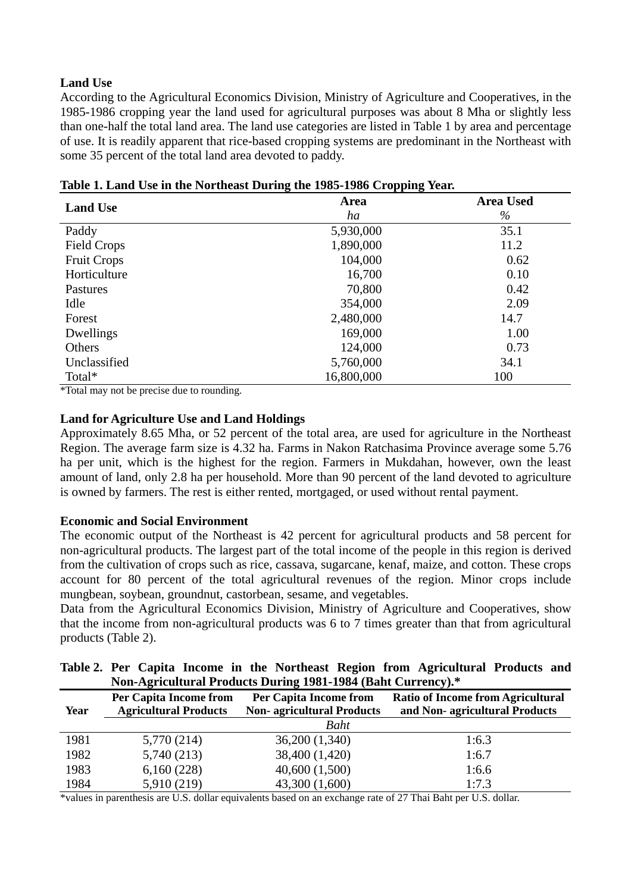# **Land Use**

According to the Agricultural Economics Division, Ministry of Agriculture and Cooperatives, in the 1985-1986 cropping year the land used for agricultural purposes was about 8 Mha or slightly less than one-half the total land area. The land use categories are listed in Table 1 by area and percentage of use. It is readily apparent that rice-based cropping systems are predominant in the Northeast with some 35 percent of the total land area devoted to paddy.

| <b>Land Use</b>    | Area       | <b>Area Used</b> |  |  |
|--------------------|------------|------------------|--|--|
|                    | ha         | $\%$             |  |  |
| Paddy              | 5,930,000  | 35.1             |  |  |
| Field Crops        | 1,890,000  | 11.2             |  |  |
| <b>Fruit Crops</b> | 104,000    | 0.62             |  |  |
| Horticulture       | 16,700     | 0.10             |  |  |
| Pastures           | 70,800     | 0.42             |  |  |
| Idle               | 354,000    | 2.09             |  |  |
| Forest             | 2,480,000  | 14.7             |  |  |
| Dwellings          | 169,000    | 1.00             |  |  |
| Others             | 124,000    | 0.73             |  |  |
| Unclassified       | 5,760,000  | 34.1             |  |  |
| Total*             | 16,800,000 | 100              |  |  |

**Table 1. Land Use in the Northeast During the 1985-1986 Cropping Year.** 

\*Total may not be precise due to rounding.

## **Land for Agriculture Use and Land Holdings**

Approximately 8.65 Mha, or 52 percent of the total area, are used for agriculture in the Northeast Region. The average farm size is 4.32 ha. Farms in Nakon Ratchasima Province average some 5.76 ha per unit, which is the highest for the region. Farmers in Mukdahan, however, own the least amount of land, only 2.8 ha per household. More than 90 percent of the land devoted to agriculture is owned by farmers. The rest is either rented, mortgaged, or used without rental payment.

## **Economic and Social Environment**

The economic output of the Northeast is 42 percent for agricultural products and 58 percent for non-agricultural products. The largest part of the total income of the people in this region is derived from the cultivation of crops such as rice, cassava, sugarcane, kenaf, maize, and cotton. These crops account for 80 percent of the total agricultural revenues of the region. Minor crops include mungbean, soybean, groundnut, castorbean, sesame, and vegetables.

Data from the Agricultural Economics Division, Ministry of Agriculture and Cooperatives, show that the income from non-agricultural products was 6 to 7 times greater than that from agricultural products (Table 2).

|                                                              |  |  |  |  |  |  |  |  | Table 2. Per Capita Income in the Northeast Region from Agricultural Products and |  |  |
|--------------------------------------------------------------|--|--|--|--|--|--|--|--|-----------------------------------------------------------------------------------|--|--|
| Non-Agricultural Products During 1981-1984 (Baht Currency).* |  |  |  |  |  |  |  |  |                                                                                   |  |  |

| Year | <b>Per Capita Income from</b><br><b>Agricultural Products</b> | <b>Per Capita Income from</b><br><b>Non-agricultural Products</b> | <b>Ratio of Income from Agricultural</b><br>and Non-agricultural Products |  |  |  |
|------|---------------------------------------------------------------|-------------------------------------------------------------------|---------------------------------------------------------------------------|--|--|--|
|      |                                                               | Baht                                                              |                                                                           |  |  |  |
| 1981 | 5,770 (214)                                                   | 36,200 (1,340)                                                    | 1:6.3                                                                     |  |  |  |
| 1982 | 5,740(213)                                                    | 38,400 (1,420)                                                    | 1:6.7                                                                     |  |  |  |
| 1983 | 6,160(228)                                                    | 40,600(1,500)                                                     | 1:6.6                                                                     |  |  |  |
| 1984 | 5,910 (219)                                                   | 43,300 (1,600)                                                    | 1:7.3                                                                     |  |  |  |

\*values in parenthesis are U.S. dollar equivalents based on an exchange rate of 27 Thai Baht per U.S. dollar.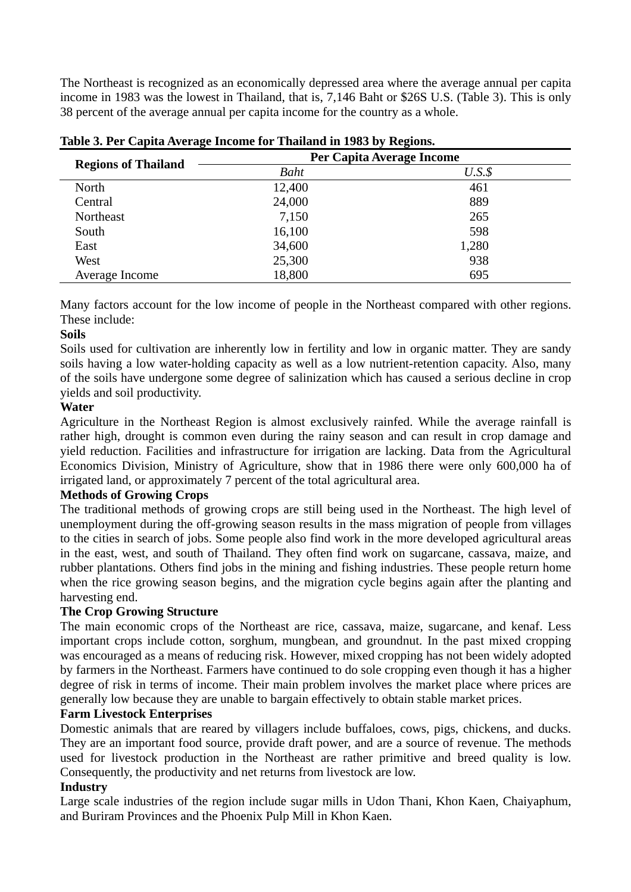The Northeast is recognized as an economically depressed area where the average annual per capita income in 1983 was the lowest in Thailand, that is, 7,146 Baht or \$26S U.S. (Table 3). This is only 38 percent of the average annual per capita income for the country as a whole.

| <b>Regions of Thailand</b> | Per Capita Average Income |         |  |  |  |
|----------------------------|---------------------------|---------|--|--|--|
|                            | Baht                      | $U.S.\$ |  |  |  |
| North                      | 12,400                    | 461     |  |  |  |
| Central                    | 24,000                    | 889     |  |  |  |
| Northeast                  | 7,150                     | 265     |  |  |  |
| South                      | 16,100                    | 598     |  |  |  |
| East                       | 34,600                    | 1,280   |  |  |  |
| West                       | 25,300                    | 938     |  |  |  |
| Average Income             | 18,800                    | 695     |  |  |  |

|  | Table 3. Per Capita Average Income for Thailand in 1983 by Regions. |  |  |  |  |
|--|---------------------------------------------------------------------|--|--|--|--|
|  |                                                                     |  |  |  |  |

Many factors account for the low income of people in the Northeast compared with other regions. These include:

## **Soils**

Soils used for cultivation are inherently low in fertility and low in organic matter. They are sandy soils having a low water-holding capacity as well as a low nutrient-retention capacity. Also, many of the soils have undergone some degree of salinization which has caused a serious decline in crop yields and soil productivity.

# **Water**

Agriculture in the Northeast Region is almost exclusively rainfed. While the average rainfall is rather high, drought is common even during the rainy season and can result in crop damage and yield reduction. Facilities and infrastructure for irrigation are lacking. Data from the Agricultural Economics Division, Ministry of Agriculture, show that in 1986 there were only 600,000 ha of irrigated land, or approximately 7 percent of the total agricultural area.

# **Methods of Growing Crops**

The traditional methods of growing crops are still being used in the Northeast. The high level of unemployment during the off-growing season results in the mass migration of people from villages to the cities in search of jobs. Some people also find work in the more developed agricultural areas in the east, west, and south of Thailand. They often find work on sugarcane, cassava, maize, and rubber plantations. Others find jobs in the mining and fishing industries. These people return home when the rice growing season begins, and the migration cycle begins again after the planting and harvesting end.

# **The Crop Growing Structure**

The main economic crops of the Northeast are rice, cassava, maize, sugarcane, and kenaf. Less important crops include cotton, sorghum, mungbean, and groundnut. In the past mixed cropping was encouraged as a means of reducing risk. However, mixed cropping has not been widely adopted by farmers in the Northeast. Farmers have continued to do sole cropping even though it has a higher degree of risk in terms of income. Their main problem involves the market place where prices are generally low because they are unable to bargain effectively to obtain stable market prices.

## **Farm Livestock Enterprises**

Domestic animals that are reared by villagers include buffaloes, cows, pigs, chickens, and ducks. They are an important food source, provide draft power, and are a source of revenue. The methods used for livestock production in the Northeast are rather primitive and breed quality is low. Consequently, the productivity and net returns from livestock are low.

## **Industry**

Large scale industries of the region include sugar mills in Udon Thani, Khon Kaen, Chaiyaphum, and Buriram Provinces and the Phoenix Pulp Mill in Khon Kaen.